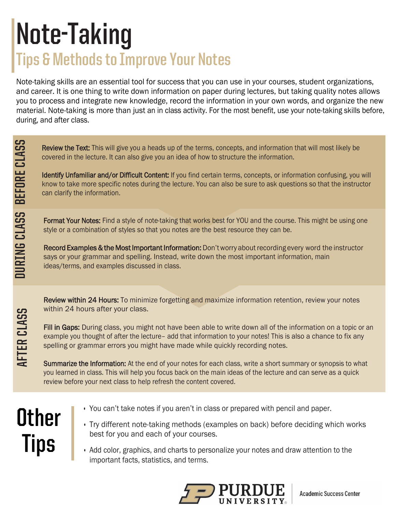## **Note-Taking Tips & Methods to Improve Your Notes**

Note-taking skills are an essential tool for success that you can use in your courses, student organizations, and career. It is one thing to write down information on paper during lectures, but taking quality notes allows you to process and integrate new knowledge, record the information in your own words, and organize the new material. Note-taking is more than just an in class activity. For the most benefit, use your note-taking skills before, during, and after class.

Review the Text: This will give you a heads up of the terms, concepts, and information that will most likely be covered in the lecture. It can also give you an idea of how to structure the information.

Identify Unfamiliar and/or Difficult Content: If you find certain terms, concepts, or information confusing, you will know to take more specific notes during the lecture. You can also be sure to ask questions so that the instructor can clarify the information.

Format Your Notes: Find a style of note-taking that works best for YOU and the course. This might be using one style or a combination of styles so that you notes are the best resource they can be.

Record Examples & the Most Important Information: Don't worry about recording every word the instructor says or your grammar and spelling. Instead, write down the most important information, main ideas/terms, and examples discussed in class.

Review within 24 Hours: To minimize forgetting and maximize information retention, review your notes within 24 hours after your class.

Fill in Gaps: During class, you might not have been able to write down all of the information on a topic or an example you thought of after the lecture– add that information to your notes! This is also a chance to fix any spelling or grammar errors you might have made while quickly recording notes.

Summarize the Information: At the end of your notes for each class, write a short summary or synopsis to what you learned in class. This will help you focus back on the main ideas of the lecture and can serve as a quick review before your next class to help refresh the content covered.

## **THER CLASS DURING CLASS BEFORE CLASS**<br> **THER** CLASS<br> **THER** CLASS<br> **EVASS BEFORE CLASS Other Tips**

DURING CLASS BEFORE CLASS

**AFTER CLASS** 

- You can't take notes if you aren't in class or prepared with pencil and paper.
- Try different note-taking methods (examples on back) before deciding which works best for you and each of your courses.
	- Add color, graphics, and charts to personalize your notes and draw attention to the important facts, statistics, and terms.